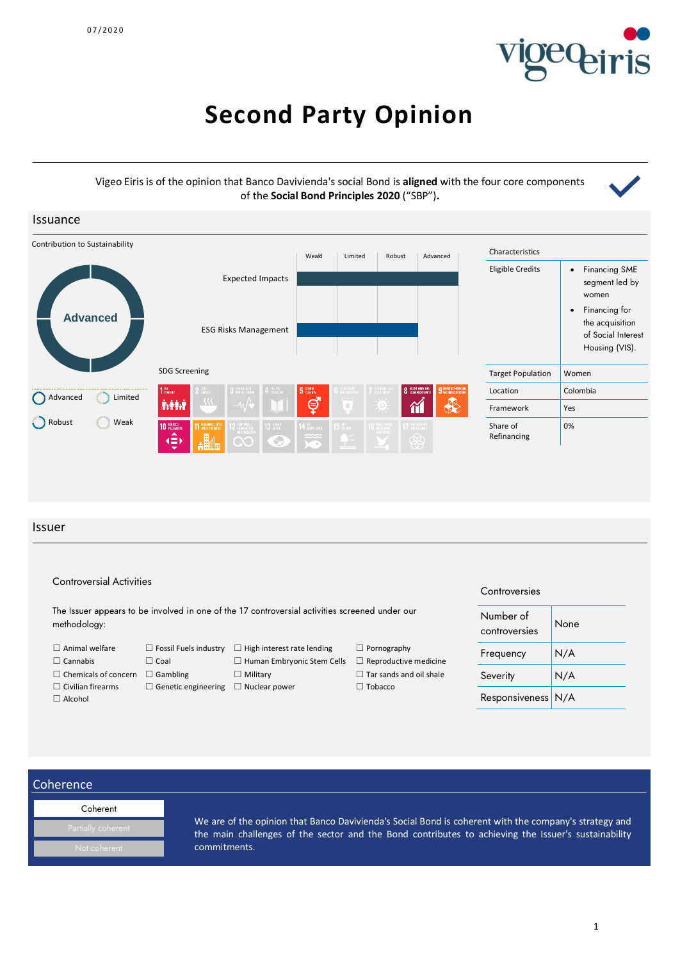

# **Second Party Opinion**

## Vigeo Eiris is of the opinion that Banco Davivienda's social Bond is **aligned** with the four core components of the **Social Bond Principles 2020** ("SBP")**.**



### Issuer

| <b>Controversial Activities</b> | Controversies                |                                                                                                |                                |                            |      |
|---------------------------------|------------------------------|------------------------------------------------------------------------------------------------|--------------------------------|----------------------------|------|
| methodology:                    |                              | The Issuer appears to be involved in one of the 17 controversial activities screened under our |                                | Number of<br>controversies | None |
| $\Box$ Animal welfare           | $\Box$ Fossil Fuels industry | $\Box$ High interest rate lending                                                              | $\Box$ Pornography             | Frequency                  | N/A  |
| $\Box$ Cannabis                 | $\Box$ Coal                  | $\Box$ Human Embryonic Stem Cells                                                              | $\Box$ Reproductive medicine   |                            |      |
| $\Box$ Chemicals of concern     | $\Box$ Gambling              | $\Box$ Military                                                                                | $\Box$ Tar sands and oil shale | Severity                   | N/A  |
| $\Box$ Civilian firearms        | $\Box$ Genetic engineering   | $\Box$ Nuclear power                                                                           | $\Box$ Tobacco                 |                            |      |
| $\Box$ Alcohol                  |                              |                                                                                                |                                | Responsiveness N/A         |      |

## Coherence

| Coherent           |
|--------------------|
| Partially coherent |
| Not coherent       |

We are of the opinion that Banco Davivienda's Social Bond is coherent with the company's strategy and the main challenges of the sector and the Bond contributes to achieving the Issuer's sustainability commitments.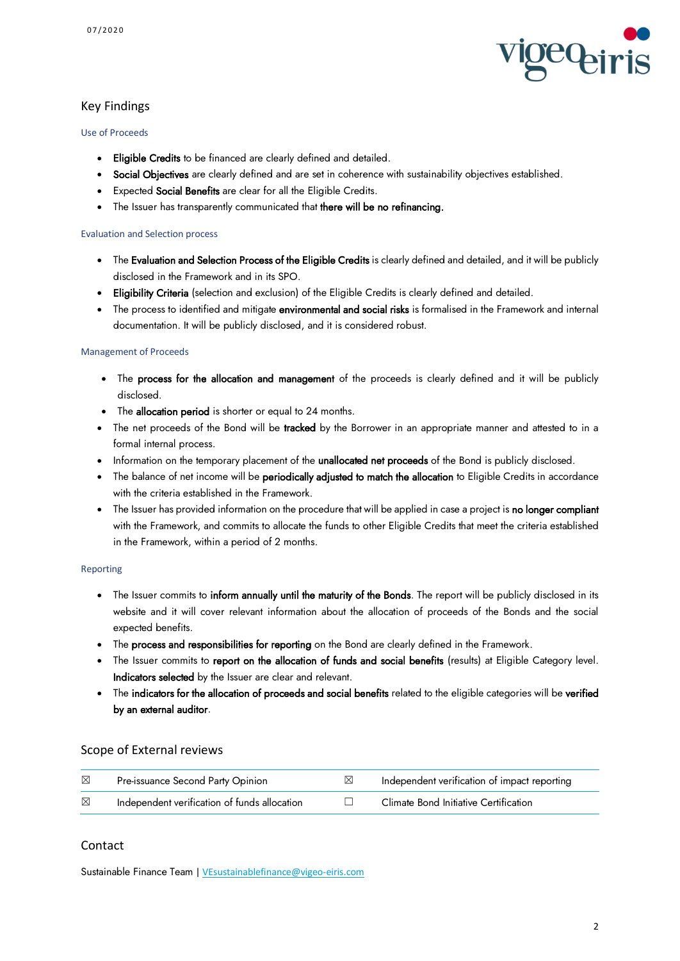

## Key Findings

### Use of Proceeds

- Eligible Credits to be financed are clearly defined and detailed.
- Social Objectives are clearly defined and are set in coherence with sustainability objectives established.
- **•** Expected Social Benefits are clear for all the Eligible Credits.
- The Issuer has transparently communicated that there will be no refinancing.

### Evaluation and Selection process

- The Evaluation and Selection Process of the Eligible Credits is clearly defined and detailed, and it will be publicly disclosed in the Framework and in its SPO.
- Eligibility Criteria (selection and exclusion) of the Eligible Credits is clearly defined and detailed.
- The process to identified and mitigate environmental and social risks is formalised in the Framework and internal documentation. It will be publicly disclosed, and it is considered robust.

## Management of Proceeds

- The process for the allocation and management of the proceeds is clearly defined and it will be publicly disclosed.
- The allocation period is shorter or equal to 24 months.
- The net proceeds of the Bond will be tracked by the Borrower in an appropriate manner and attested to in a formal internal process.
- Information on the temporary placement of the **unallocated net proceeds** of the Bond is publicly disclosed.
- The balance of net income will be **periodically adjusted to match the allocation** to Eligible Credits in accordance with the criteria established in the Framework.
- The Issuer has provided information on the procedure that will be applied in case a project is no longer compliant with the Framework, and commits to allocate the funds to other Eligible Credits that meet the criteria established in the Framework, within a period of 2 months.

### Reporting

- The Issuer commits to inform annually until the maturity of the Bonds. The report will be publicly disclosed in its website and it will cover relevant information about the allocation of proceeds of the Bonds and the social expected benefits.
- The process and responsibilities for reporting on the Bond are clearly defined in the Framework.
- The Issuer commits to report on the allocation of funds and social benefits (results) at Eligible Category level. Indicators selected by the Issuer are clear and relevant.
- The indicators for the allocation of proceeds and social benefits related to the eligible categories will be verified by an external auditor.

## Scope of External reviews

| ⊠ | Pre-issuance Second Party Opinion            | Independent verification of impact reporting |
|---|----------------------------------------------|----------------------------------------------|
| ⊠ | Independent verification of funds allocation | Climate Bond Initiative Certification        |

## Contact

Sustainable Finance Team [| VEsustainablefinance@vigeo-eiris.com](mailto:VEsustainablefinance@vigeo-eiris.com)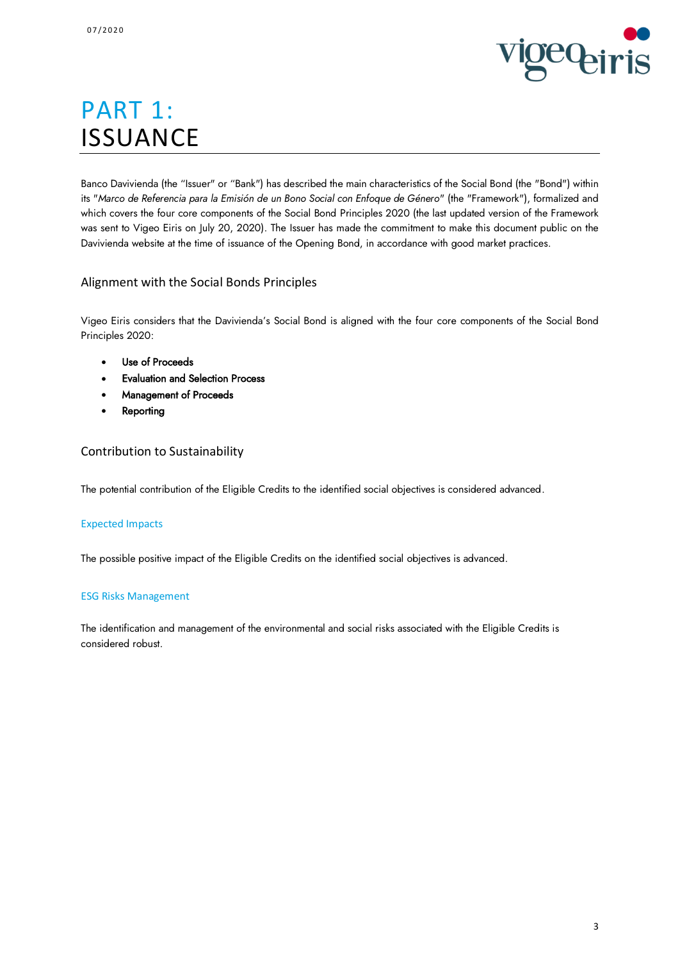

# PART 1: **ISSUANCE**

Banco Davivienda (the "Issuer" or "Bank") has described the main characteristics of the Social Bond (the "Bond") within its "*Marco de Referencia para la Emisión de un Bono Social con Enfoque de Género*" (the "Framework"), formalized and which covers the four core components of the Social Bond Principles 2020 (the last updated version of the Framework was sent to Vigeo Eiris on July 20, 2020). The Issuer has made the commitment to make this document public on the Davivienda website at the time of issuance of the Opening Bond, in accordance with good market practices.

## Alignment with the Social Bonds Principles

Vigeo Eiris considers that the Davivienda's Social Bond is aligned with the four core components of the Social Bond Principles 2020:

- Use of Proceeds
- Evaluation and Selection Process
- Management of Proceeds
- **Reporting**

## Contribution to Sustainability

The potential contribution of the Eligible Credits to the identified social objectives is considered advanced.

## Expected Impacts

The possible positive impact of the Eligible Credits on the identified social objectives is advanced.

### ESG Risks Management

The identification and management of the environmental and social risks associated with the Eligible Credits is considered robust.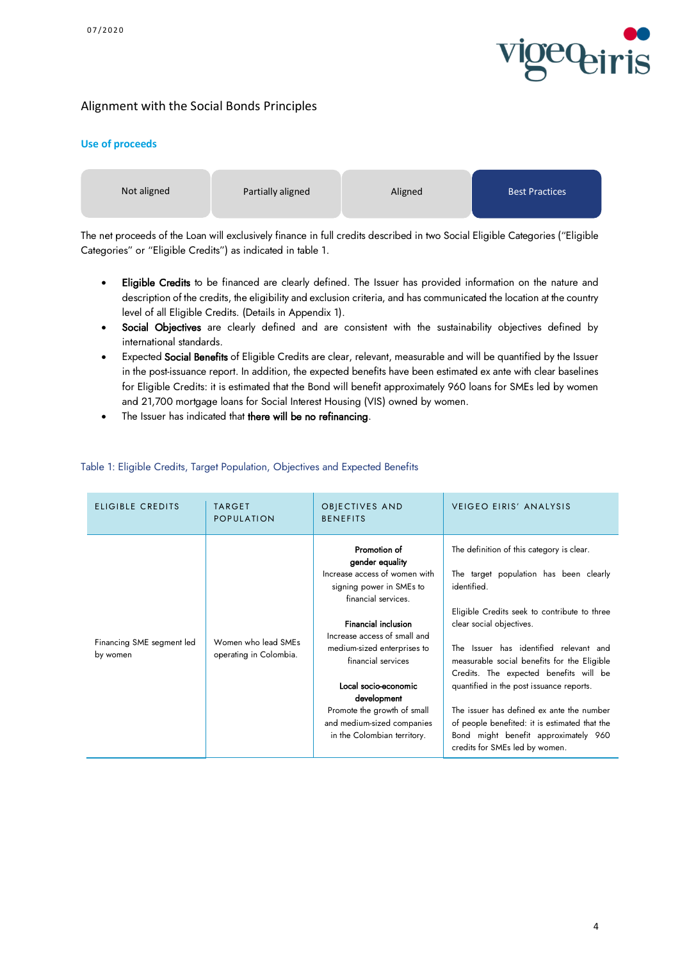

## Alignment with the Social Bonds Principles

### **Use of proceeds**



The net proceeds of the Loan will exclusively finance in full credits described in two Social Eligible Categories ("Eligible Categories" or "Eligible Credits") as indicated in table 1.

- Eligible Credits to be financed are clearly defined. The Issuer has provided information on the nature and description of the credits, the eligibility and exclusion criteria, and has communicated the location at the country level of all Eligible Credits. (Details in Appendix 1).
- Social Objectives are clearly defined and are consistent with the sustainability objectives defined by international standards.
- Expected Social Benefits of Eligible Credits are clear, relevant, measurable and will be quantified by the Issuer in the post-issuance report. In addition, the expected benefits have been estimated ex ante with clear baselines for Eligible Credits: it is estimated that the Bond will benefit approximately 960 loans for SMEs led by women and 21,700 mortgage loans for Social Interest Housing (VIS) owned by women.
- The Issuer has indicated that there will be no refinancing.

| ELIGIBLE CREDITS                      | <b>TARGET</b><br>POPULATION                   | OBJECTIVES AND<br><b>BENEFITS</b>                                                                                                                                                                                                                                                                                                                                         | <b>VEIGEO EIRIS' ANALYSIS</b>                                                                                                                                                                                                                                                                                                                                                                                                                                                                                                         |
|---------------------------------------|-----------------------------------------------|---------------------------------------------------------------------------------------------------------------------------------------------------------------------------------------------------------------------------------------------------------------------------------------------------------------------------------------------------------------------------|---------------------------------------------------------------------------------------------------------------------------------------------------------------------------------------------------------------------------------------------------------------------------------------------------------------------------------------------------------------------------------------------------------------------------------------------------------------------------------------------------------------------------------------|
| Financing SME segment led<br>by women | Women who lead SMEs<br>operating in Colombia. | Promotion of<br>gender equality<br>Increase access of women with<br>signing power in SMEs to<br>financial services.<br><b>Financial inclusion</b><br>Increase access of small and<br>medium-sized enterprises to<br>financial services<br>Local socio-economic<br>development<br>Promote the growth of small<br>and medium-sized companies<br>in the Colombian territory. | The definition of this category is clear.<br>The target population has been clearly<br>identified.<br>Eligible Credits seek to contribute to three<br>clear social objectives.<br>The Issuer has identified relevant and<br>measurable social benefits for the Eligible<br>Credits. The expected benefits will be<br>quantified in the post issuance reports.<br>The issuer has defined ex ante the number<br>of people benefited: it is estimated that the<br>Bond might benefit approximately 960<br>credits for SMEs led by women. |

## Table 1: Eligible Credits, Target Population, Objectives and Expected Benefits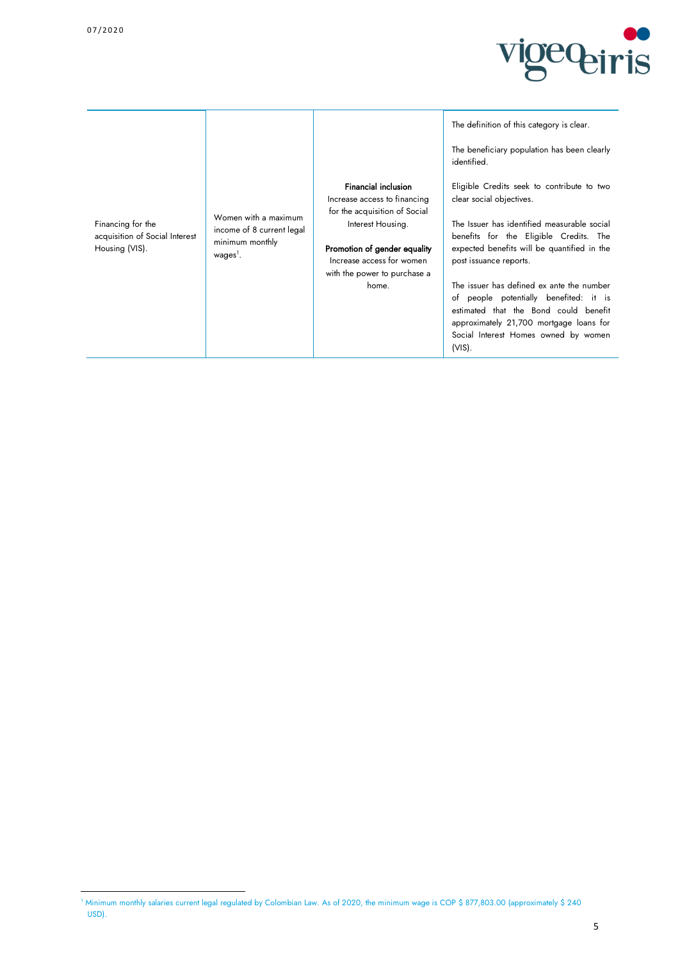1



Financing for the acquisition of Social Interest Housing (VIS).

Women with a maximum income of 8 current legal minimum monthly wages<sup>1</sup>.

Financial inclusion Increase access to financing for the acquisition of Social Interest Housing.

Promotion of gender equality Increase access for women with the power to purchase a home.

The definition of this category is clear.

The beneficiary population has been clearly identified.

Eligible Credits seek to contribute to two clear social objectives.

The Issuer has identified measurable social benefits for the Eligible Credits. The expected benefits will be quantified in the post issuance reports.

The issuer has defined ex ante the number of people potentially benefited: it is estimated that the Bond could benefit approximately 21,700 mortgage loans for Social Interest Homes owned by women (VIS).

<sup>1</sup> Minimum monthly salaries current legal regulated by Colombian Law. As of 2020, the minimum wage is COP \$ 877,803.00 (approximately \$ 240 USD).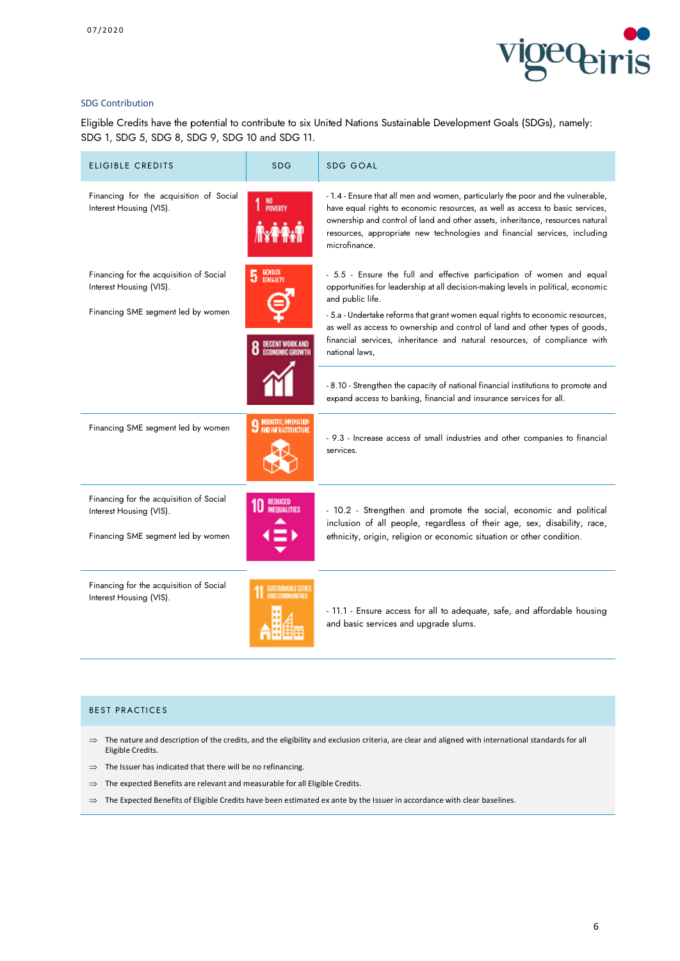

#### SDG Contribution

Eligible Credits have the potential to contribute to six United Nations Sustainable Development Goals (SDGs), namely: SDG 1, SDG 5, SDG 8, SDG 9, SDG 10 and SDG 11.

| <b>ELIGIBLE CREDITS</b>                                                                                  | <b>SDG</b>                           | <b>SDG GOAL</b>                                                                                                                                                                                                                                                                                                                                                                                                                                  |
|----------------------------------------------------------------------------------------------------------|--------------------------------------|--------------------------------------------------------------------------------------------------------------------------------------------------------------------------------------------------------------------------------------------------------------------------------------------------------------------------------------------------------------------------------------------------------------------------------------------------|
| Financing for the acquisition of Social<br>Interest Housing (VIS).                                       | 1 NO <sub>KWERTY</sub>               | - 1.4 - Ensure that all men and women, particularly the poor and the vulnerable,<br>have equal rights to economic resources, as well as access to basic services,<br>ownership and control of land and other assets, inheritance, resources natural<br>resources, appropriate new technologies and financial services, including<br>microfinance.                                                                                                |
| Financing for the acquisition of Social<br>Interest Housing (VIS).<br>Financing SME segment led by women | <b>GCHDDI</b><br>5<br><b>DOUGUTY</b> | - 5.5 - Ensure the full and effective participation of women and equal<br>opportunities for leadership at all decision-making levels in political, economic<br>and public life.<br>- 5.a - Undertake reforms that grant women equal rights to economic resources,<br>as well as access to ownership and control of land and other types of goods,<br>financial services, inheritance and natural resources, of compliance with<br>national laws, |
|                                                                                                          |                                      | - 8.10 - Strengthen the capacity of national financial institutions to promote and<br>expand access to banking, financial and insurance services for all.                                                                                                                                                                                                                                                                                        |
| Financing SME segment led by women                                                                       | <b>9 HOUSTRY, IMPOVATION</b>         | - 9.3 - Increase access of small industries and other companies to financial<br>services.                                                                                                                                                                                                                                                                                                                                                        |
| Financing for the acquisition of Social<br>Interest Housing (VIS).<br>Financing SME segment led by women |                                      | - 10.2 - Strengthen and promote the social, economic and political<br>inclusion of all people, regardless of their age, sex, disability, race,<br>ethnicity, origin, religion or economic situation or other condition.                                                                                                                                                                                                                          |
| Financing for the acquisition of Social<br>Interest Housing (VIS).                                       | SIANARI OTT                          | - 11.1 - Ensure access for all to adequate, safe, and affordable housing<br>and basic services and upgrade slums.                                                                                                                                                                                                                                                                                                                                |

#### BEST PRACTICES

- $\Rightarrow$  The nature and description of the credits, and the eligibility and exclusion criteria, are clear and aligned with international standards for all Eligible Credits.
- $\Rightarrow$  The Issuer has indicated that there will be no refinancing.
- $\Rightarrow$  The expected Benefits are relevant and measurable for all Eligible Credits.
- $\Rightarrow$  The Expected Benefits of Eligible Credits have been estimated ex ante by the Issuer in accordance with clear baselines.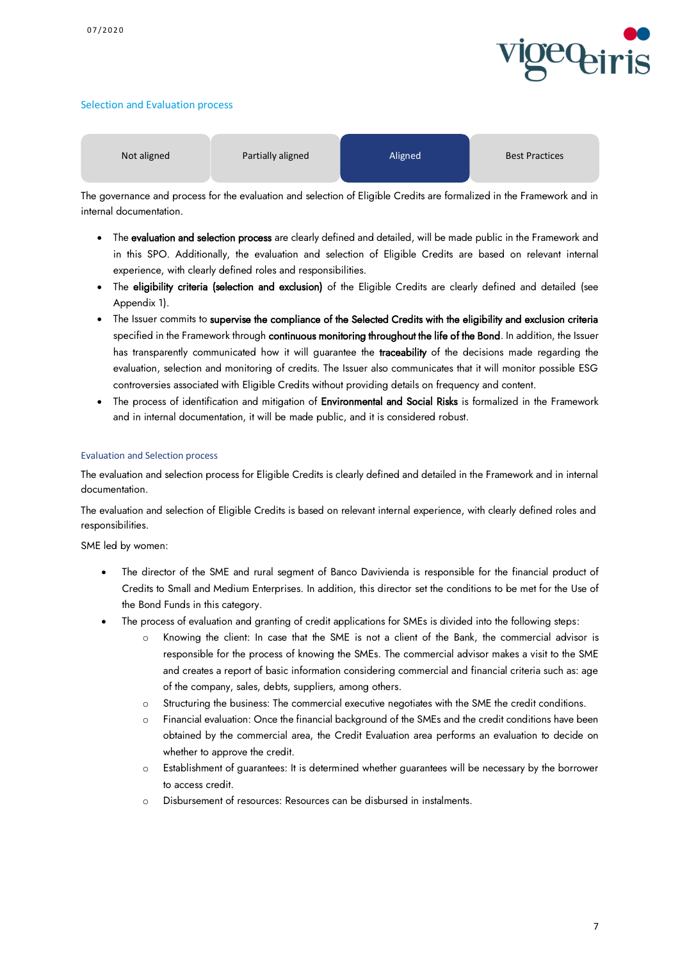

#### Selection and Evaluation process

| Not aligned | Partially aligned | Aligned | <b>Best Practices</b> |
|-------------|-------------------|---------|-----------------------|
|-------------|-------------------|---------|-----------------------|

The governance and process for the evaluation and selection of Eligible Credits are formalized in the Framework and in internal documentation.

- The evaluation and selection process are clearly defined and detailed, will be made public in the Framework and in this SPO. Additionally, the evaluation and selection of Eligible Credits are based on relevant internal experience, with clearly defined roles and responsibilities.
- The eligibility criteria (selection and exclusion) of the Eligible Credits are clearly defined and detailed (see Appendix 1).
- The Issuer commits to supervise the compliance of the Selected Credits with the eligibility and exclusion criteria specified in the Framework through continuous monitoring throughout the life of the Bond. In addition, the Issuer has transparently communicated how it will guarantee the **traceability** of the decisions made regarding the evaluation, selection and monitoring of credits. The Issuer also communicates that it will monitor possible ESG controversies associated with Eligible Credits without providing details on frequency and content.
- The process of identification and mitigation of Environmental and Social Risks is formalized in the Framework and in internal documentation, it will be made public, and it is considered robust.

### Evaluation and Selection process

The evaluation and selection process for Eligible Credits is clearly defined and detailed in the Framework and in internal documentation.

The evaluation and selection of Eligible Credits is based on relevant internal experience, with clearly defined roles and responsibilities.

SME led by women:

- The director of the SME and rural segment of Banco Davivienda is responsible for the financial product of Credits to Small and Medium Enterprises. In addition, this director set the conditions to be met for the Use of the Bond Funds in this category.
- The process of evaluation and granting of credit applications for SMEs is divided into the following steps:
	- o Knowing the client: In case that the SME is not a client of the Bank, the commercial advisor is responsible for the process of knowing the SMEs. The commercial advisor makes a visit to the SME and creates a report of basic information considering commercial and financial criteria such as: age of the company, sales, debts, suppliers, among others.
	- o Structuring the business: The commercial executive negotiates with the SME the credit conditions.
	- o Financial evaluation: Once the financial background of the SMEs and the credit conditions have been obtained by the commercial area, the Credit Evaluation area performs an evaluation to decide on whether to approve the credit.
	- o Establishment of guarantees: It is determined whether guarantees will be necessary by the borrower to access credit.
	- o Disbursement of resources: Resources can be disbursed in instalments.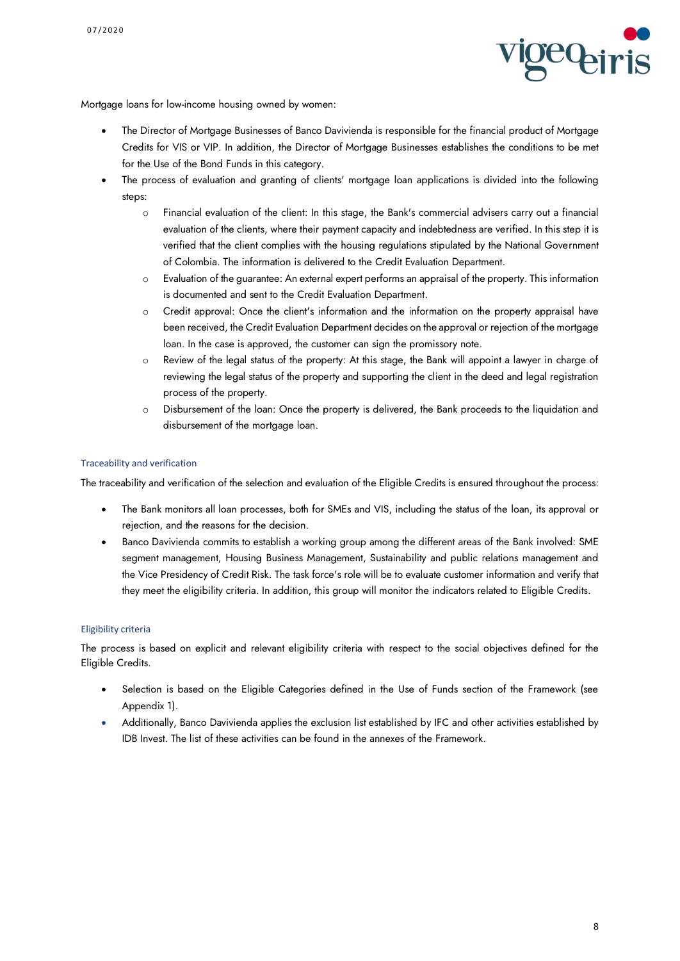

Mortgage loans for low-income housing owned by women:

- The Director of Mortgage Businesses of Banco Davivienda is responsible for the financial product of Mortgage Credits for VIS or VIP. In addition, the Director of Mortgage Businesses establishes the conditions to be met for the Use of the Bond Funds in this category.
- The process of evaluation and granting of clients' mortgage loan applications is divided into the following steps:
	- o Financial evaluation of the client: In this stage, the Bank's commercial advisers carry out a financial evaluation of the clients, where their payment capacity and indebtedness are verified. In this step it is verified that the client complies with the housing regulations stipulated by the National Government of Colombia. The information is delivered to the Credit Evaluation Department.
	- o Evaluation of the guarantee: An external expert performs an appraisal of the property. This information is documented and sent to the Credit Evaluation Department.
	- o Credit approval: Once the client's information and the information on the property appraisal have been received, the Credit Evaluation Department decides on the approval or rejection of the mortgage loan. In the case is approved, the customer can sign the promissory note.
	- o Review of the legal status of the property: At this stage, the Bank will appoint a lawyer in charge of reviewing the legal status of the property and supporting the client in the deed and legal registration process of the property.
	- o Disbursement of the loan: Once the property is delivered, the Bank proceeds to the liquidation and disbursement of the mortgage loan.

### Traceability and verification

The traceability and verification of the selection and evaluation of the Eligible Credits is ensured throughout the process:

- The Bank monitors all loan processes, both for SMEs and VIS, including the status of the loan, its approval or rejection, and the reasons for the decision.
- Banco Davivienda commits to establish a working group among the different areas of the Bank involved: SME segment management, Housing Business Management, Sustainability and public relations management and the Vice Presidency of Credit Risk. The task force's role will be to evaluate customer information and verify that they meet the eligibility criteria. In addition, this group will monitor the indicators related to Eligible Credits.

#### Eligibility criteria

The process is based on explicit and relevant eligibility criteria with respect to the social objectives defined for the Eligible Credits.

- Selection is based on the Eligible Categories defined in the Use of Funds section of the Framework (see Appendix 1).
- Additionally, Banco Davivienda applies the exclusion list established by IFC and other activities established by IDB Invest. The list of these activities can be found in the annexes of the Framework.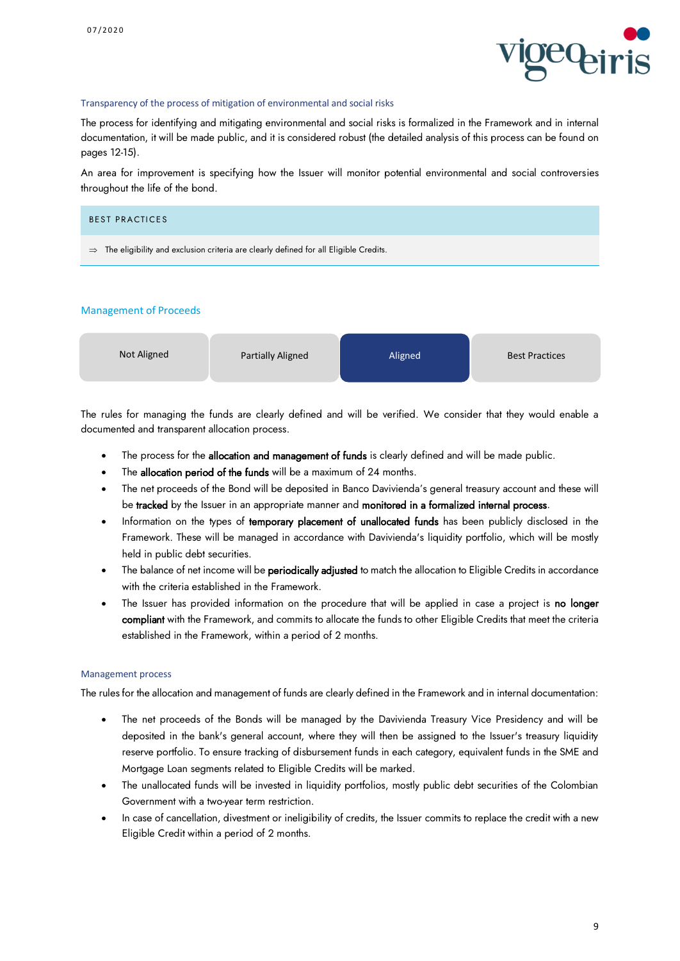

#### Transparency of the process of mitigation of environmental and social risks

The process for identifying and mitigating environmental and social risks is formalized in the Framework and in internal documentation, it will be made public, and it is considered robust (the detailed analysis of this process can be found on pages 12-15).

An area for improvement is specifying how the Issuer will monitor potential environmental and social controversies throughout the life of the bond.

| <b>BEST PRACTICES</b>                                                                              |  |
|----------------------------------------------------------------------------------------------------|--|
| $\Rightarrow$ The eligibility and exclusion criteria are clearly defined for all Eligible Credits. |  |

#### Management of Proceeds



The rules for managing the funds are clearly defined and will be verified. We consider that they would enable a documented and transparent allocation process.

- The process for the allocation and management of funds is clearly defined and will be made public.
- The allocation period of the funds will be a maximum of 24 months.
- The net proceeds of the Bond will be deposited in Banco Davivienda's general treasury account and these will be tracked by the Issuer in an appropriate manner and monitored in a formalized internal process.
- Information on the types of temporary placement of unallocated funds has been publicly disclosed in the Framework. These will be managed in accordance with Davivienda's liquidity portfolio, which will be mostly held in public debt securities.
- The balance of net income will be **periodically adjusted** to match the allocation to Eligible Credits in accordance with the criteria established in the Framework.
- The Issuer has provided information on the procedure that will be applied in case a project is no longer compliant with the Framework, and commits to allocate the funds to other Eligible Credits that meet the criteria established in the Framework, within a period of 2 months.

### Management process

The rules for the allocation and management of funds are clearly defined in the Framework and in internal documentation:

- The net proceeds of the Bonds will be managed by the Davivienda Treasury Vice Presidency and will be deposited in the bank's general account, where they will then be assigned to the Issuer's treasury liquidity reserve portfolio. To ensure tracking of disbursement funds in each category, equivalent funds in the SME and Mortgage Loan segments related to Eligible Credits will be marked.
- The unallocated funds will be invested in liquidity portfolios, mostly public debt securities of the Colombian Government with a two-year term restriction.
- In case of cancellation, divestment or ineligibility of credits, the Issuer commits to replace the credit with a new Eligible Credit within a period of 2 months.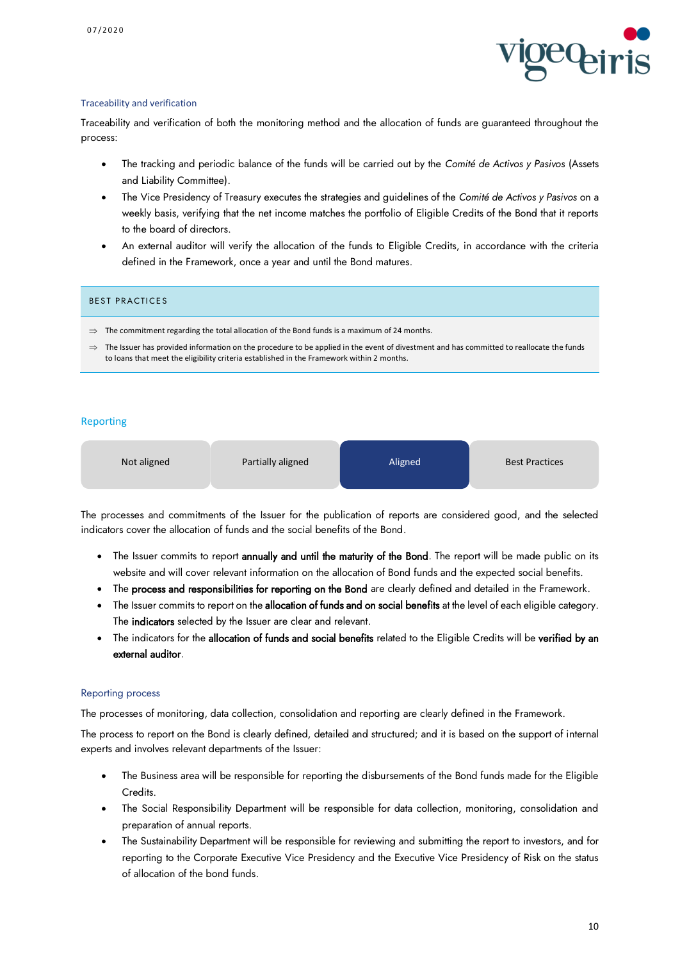

#### Traceability and verification

Traceability and verification of both the monitoring method and the allocation of funds are guaranteed throughout the process:

- The tracking and periodic balance of the funds will be carried out by the *Comité de Activos y Pasivos* (Assets and Liability Committee).
- The Vice Presidency of Treasury executes the strategies and guidelines of the *Comité de Activos y Pasivos* on a weekly basis, verifying that the net income matches the portfolio of Eligible Credits of the Bond that it reports to the board of directors.
- An external auditor will verify the allocation of the funds to Eligible Credits, in accordance with the criteria defined in the Framework, once a year and until the Bond matures.

#### BEST PRACTICES

- $\Rightarrow$  The commitment regarding the total allocation of the Bond funds is a maximum of 24 months.
- $\Rightarrow$  The Issuer has provided information on the procedure to be applied in the event of divestment and has committed to reallocate the funds to loans that meet the eligibility criteria established in the Framework within 2 months.

### Reporting

| Not aligned | Partially aligned | Aligned | <b>Best Practices</b> |
|-------------|-------------------|---------|-----------------------|
|             |                   |         |                       |

The processes and commitments of the Issuer for the publication of reports are considered good, and the selected indicators cover the allocation of funds and the social benefits of the Bond.

- The Issuer commits to report annually and until the maturity of the Bond. The report will be made public on its website and will cover relevant information on the allocation of Bond funds and the expected social benefits.
- The process and responsibilities for reporting on the Bond are clearly defined and detailed in the Framework.
- The Issuer commits to report on the allocation of funds and on social benefits at the level of each eligible category. The indicators selected by the Issuer are clear and relevant.
- The indicators for the allocation of funds and social benefits related to the Eligible Credits will be verified by an external auditor.

### Reporting process

The processes of monitoring, data collection, consolidation and reporting are clearly defined in the Framework.

The process to report on the Bond is clearly defined, detailed and structured; and it is based on the support of internal experts and involves relevant departments of the Issuer:

- The Business area will be responsible for reporting the disbursements of the Bond funds made for the Eligible Credits.
- The Social Responsibility Department will be responsible for data collection, monitoring, consolidation and preparation of annual reports.
- The Sustainability Department will be responsible for reviewing and submitting the report to investors, and for reporting to the Corporate Executive Vice Presidency and the Executive Vice Presidency of Risk on the status of allocation of the bond funds.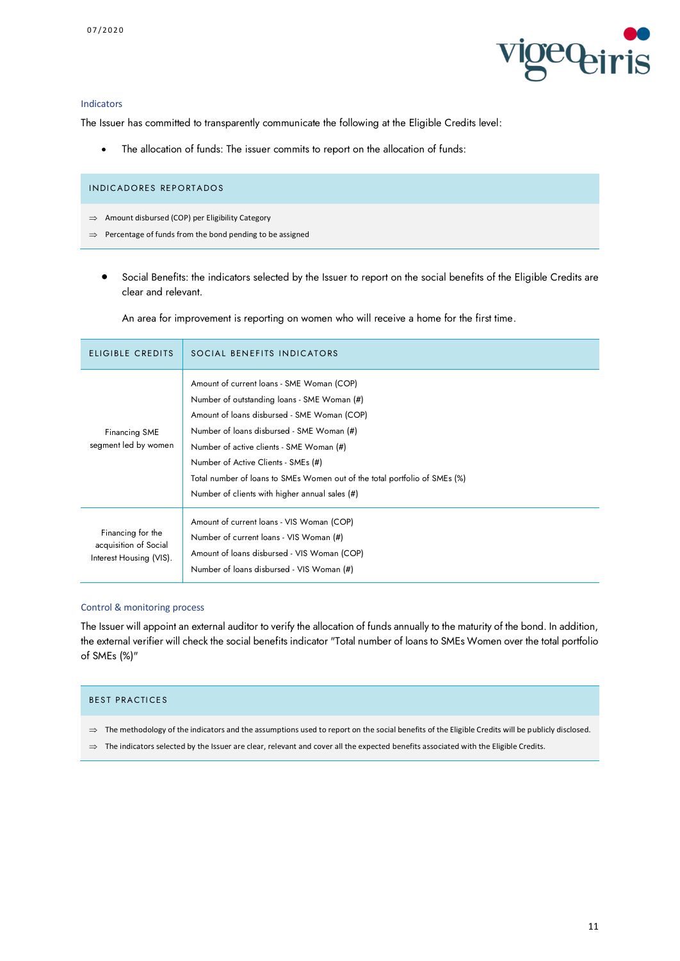

#### Indicators

The Issuer has committed to transparently communicate the following at the Eligible Credits level:

• The allocation of funds: The issuer commits to report on the allocation of funds:

- $\implies$  Amount disbursed (COP) per Eligibility Category
- $\Rightarrow$  Percentage of funds from the bond pending to be assigned
	- Social Benefits: the indicators selected by the Issuer to report on the social benefits of the Eligible Credits are clear and relevant.

An area for improvement is reporting on women who will receive a home for the first time.

| <b>ELIGIBLE CREDITS</b>                                               | SOCIAL BENEFITS INDICATORS                                                                                                                                                                                                                                                                                                                                                                              |
|-----------------------------------------------------------------------|---------------------------------------------------------------------------------------------------------------------------------------------------------------------------------------------------------------------------------------------------------------------------------------------------------------------------------------------------------------------------------------------------------|
| Financing SME<br>segment led by women                                 | Amount of current loans - SME Woman (COP)<br>Number of outstanding loans - SME Woman (#)<br>Amount of loans disbursed - SME Woman (COP)<br>Number of loans disbursed - SME Woman (#)<br>Number of active clients - SME Woman (#)<br>Number of Active Clients - SMEs (#)<br>Total number of loans to SMEs Women out of the total portfolio of SMEs (%)<br>Number of clients with higher annual sales (#) |
| Financing for the<br>acquisition of Social<br>Interest Housing (VIS). | Amount of current loans - VIS Woman (COP)<br>Number of current loans - VIS Woman (#)<br>Amount of loans disbursed - VIS Woman (COP)<br>Number of loans disbursed - VIS Woman (#)                                                                                                                                                                                                                        |

#### Control & monitoring process

The Issuer will appoint an external auditor to verify the allocation of funds annually to the maturity of the bond. In addition, the external verifier will check the social benefits indicator "Total number of loans to SMEs Women over the total portfolio of SMEs (%)"

### BEST PRACTICES

- $\Rightarrow$  The methodology of the indicators and the assumptions used to report on the social benefits of the Eligible Credits will be publicly disclosed.
- $\Rightarrow$  The indicators selected by the Issuer are clear, relevant and cover all the expected benefits associated with the Eligible Credits.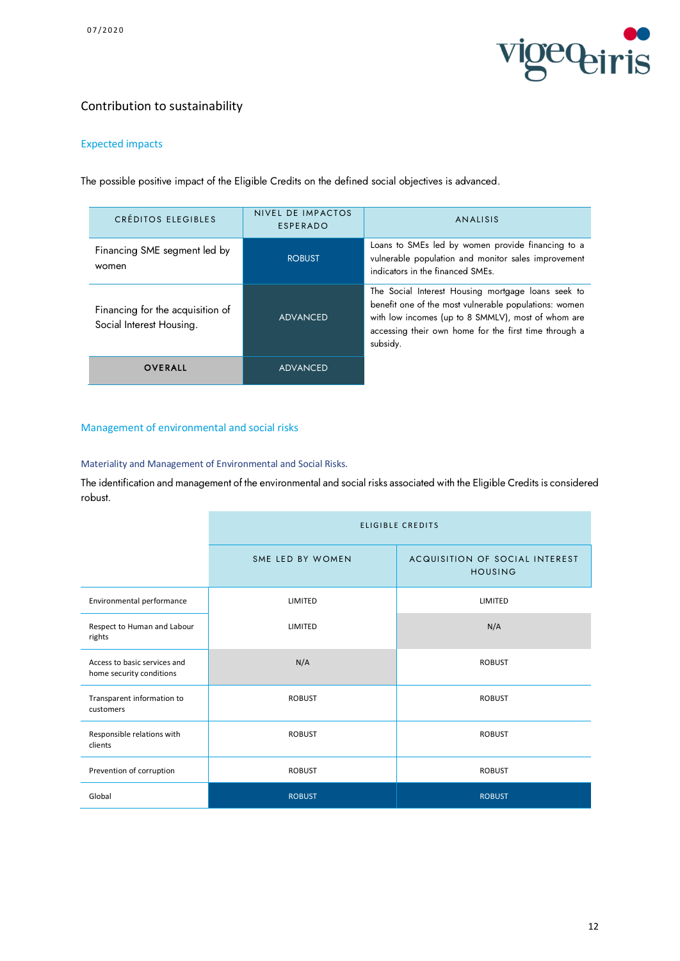

## Contribution to sustainability

## Expected impacts

The possible positive impact of the Eligible Credits on the defined social objectives is advanced.

| CRÉDITOS ELEGIBLES                                           | NIVEL DE IMPACTOS<br>ESPERADO | <b>ANALISIS</b>                                                                                                                                                                                                                        |
|--------------------------------------------------------------|-------------------------------|----------------------------------------------------------------------------------------------------------------------------------------------------------------------------------------------------------------------------------------|
| Financing SME segment led by<br>women                        | <b>ROBUST</b>                 | Loans to SMEs led by women provide financing to a<br>vulnerable population and monitor sales improvement<br>indicators in the financed SMEs.                                                                                           |
| Financing for the acquisition of<br>Social Interest Housing. | <b>ADVANCED</b>               | The Social Interest Housing mortgage loans seek to<br>benefit one of the most vulnerable populations: women<br>with low incomes (up to 8 SMMLV), most of whom are<br>accessing their own home for the first time through a<br>subsidy. |
| <b>OVERALL</b>                                               | <b>ADVANCED</b>               |                                                                                                                                                                                                                                        |

## Management of environmental and social risks

Materiality and Management of Environmental and Social Risks.

The identification and management of the environmental and social risks associated with the Eligible Credits is considered robust.

|                                                          | <b>ELIGIBLE CREDITS</b> |                                                  |  |
|----------------------------------------------------------|-------------------------|--------------------------------------------------|--|
|                                                          | SME LED BY WOMEN        | ACQUISITION OF SOCIAL INTEREST<br><b>HOUSING</b> |  |
| Environmental performance                                | LIMITED                 | LIMITED                                          |  |
| Respect to Human and Labour<br>rights                    | LIMITED                 | N/A                                              |  |
| Access to basic services and<br>home security conditions | N/A                     | <b>ROBUST</b>                                    |  |
| Transparent information to<br>customers                  | <b>ROBUST</b>           | <b>ROBUST</b>                                    |  |
| Responsible relations with<br>clients                    | <b>ROBUST</b>           | <b>ROBUST</b>                                    |  |
| Prevention of corruption                                 | <b>ROBUST</b>           | <b>ROBUST</b>                                    |  |
| Global                                                   | <b>ROBUST</b>           | <b>ROBUST</b>                                    |  |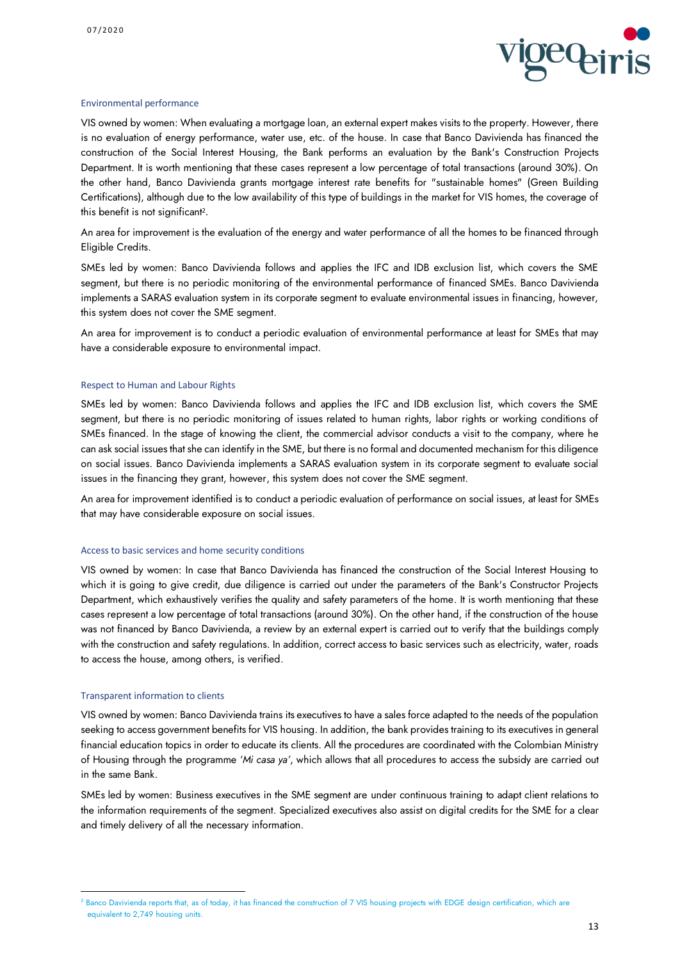

#### Environmental performance

VIS owned by women: When evaluating a mortgage loan, an external expert makes visits to the property. However, there is no evaluation of energy performance, water use, etc. of the house. In case that Banco Davivienda has financed the construction of the Social Interest Housing, the Bank performs an evaluation by the Bank's Construction Projects Department. It is worth mentioning that these cases represent a low percentage of total transactions (around 30%). On the other hand, Banco Davivienda grants mortgage interest rate benefits for "sustainable homes" (Green Building Certifications), although due to the low availability of this type of buildings in the market for VIS homes, the coverage of this benefit is not significant<sup>2</sup> .

An area for improvement is the evaluation of the energy and water performance of all the homes to be financed through Eligible Credits.

SMEs led by women: Banco Davivienda follows and applies the IFC and IDB exclusion list, which covers the SME segment, but there is no periodic monitoring of the environmental performance of financed SMEs. Banco Davivienda implements a SARAS evaluation system in its corporate segment to evaluate environmental issues in financing, however, this system does not cover the SME segment.

An area for improvement is to conduct a periodic evaluation of environmental performance at least for SMEs that may have a considerable exposure to environmental impact.

#### Respect to Human and Labour Rights

SMEs led by women: Banco Davivienda follows and applies the IFC and IDB exclusion list, which covers the SME segment, but there is no periodic monitoring of issues related to human rights, labor rights or working conditions of SMEs financed. In the stage of knowing the client, the commercial advisor conducts a visit to the company, where he can ask social issues that she can identify in the SME, but there is no formal and documented mechanism for this diligence on social issues. Banco Davivienda implements a SARAS evaluation system in its corporate segment to evaluate social issues in the financing they grant, however, this system does not cover the SME segment.

An area for improvement identified is to conduct a periodic evaluation of performance on social issues, at least for SMEs that may have considerable exposure on social issues.

#### Access to basic services and home security conditions

VIS owned by women: In case that Banco Davivienda has financed the construction of the Social Interest Housing to which it is going to give credit, due diligence is carried out under the parameters of the Bank's Constructor Projects Department, which exhaustively verifies the quality and safety parameters of the home. It is worth mentioning that these cases represent a low percentage of total transactions (around 30%). On the other hand, if the construction of the house was not financed by Banco Davivienda, a review by an external expert is carried out to verify that the buildings comply with the construction and safety regulations. In addition, correct access to basic services such as electricity, water, roads to access the house, among others, is verified.

#### Transparent information to clients

1

VIS owned by women: Banco Davivienda trains its executives to have a sales force adapted to the needs of the population seeking to access government benefits for VIS housing. In addition, the bank provides training to its executives in general financial education topics in order to educate its clients. All the procedures are coordinated with the Colombian Ministry of Housing through the programme '*Mi casa ya'*, which allows that all procedures to access the subsidy are carried out in the same Bank.

SMEs led by women: Business executives in the SME segment are under continuous training to adapt client relations to the information requirements of the segment. Specialized executives also assist on digital credits for the SME for a clear and timely delivery of all the necessary information.

<sup>&</sup>lt;sup>2</sup> Banco Davivienda reports that, as of today, it has financed the construction of 7 VIS housing projects with EDGE design certification, which are equivalent to 2,749 housing units.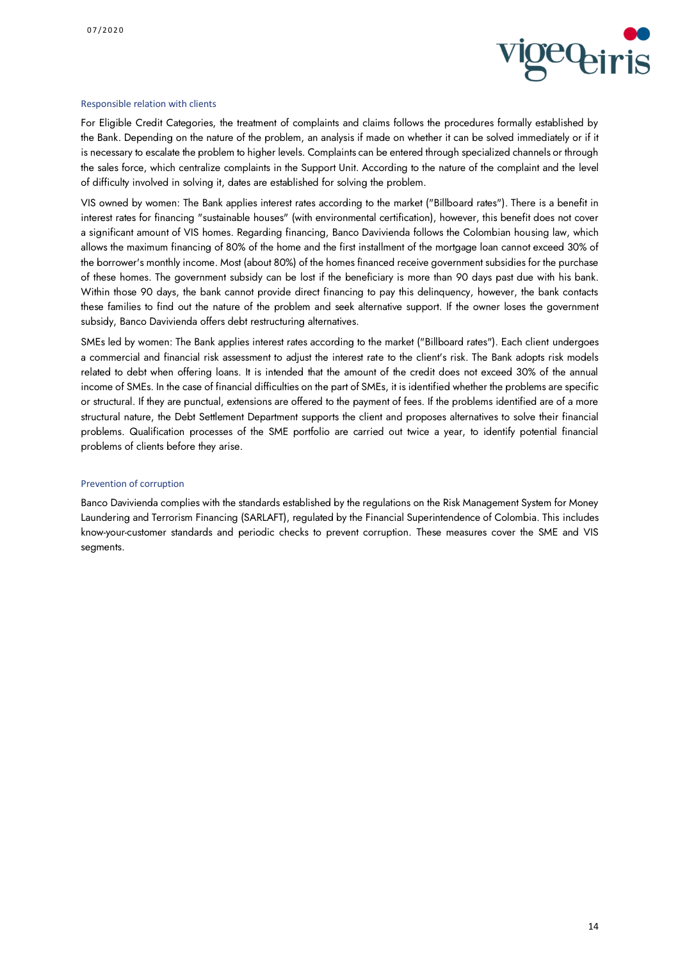

#### Responsible relation with clients

For Eligible Credit Categories, the treatment of complaints and claims follows the procedures formally established by the Bank. Depending on the nature of the problem, an analysis if made on whether it can be solved immediately or if it is necessary to escalate the problem to higher levels. Complaints can be entered through specialized channels or through the sales force, which centralize complaints in the Support Unit. According to the nature of the complaint and the level of difficulty involved in solving it, dates are established for solving the problem.

VIS owned by women: The Bank applies interest rates according to the market ("Billboard rates"). There is a benefit in interest rates for financing "sustainable houses" (with environmental certification), however, this benefit does not cover a significant amount of VIS homes. Regarding financing, Banco Davivienda follows the Colombian housing law, which allows the maximum financing of 80% of the home and the first installment of the mortgage loan cannot exceed 30% of the borrower's monthly income. Most (about 80%) of the homes financed receive government subsidies for the purchase of these homes. The government subsidy can be lost if the beneficiary is more than 90 days past due with his bank. Within those 90 days, the bank cannot provide direct financing to pay this delinquency, however, the bank contacts these families to find out the nature of the problem and seek alternative support. If the owner loses the government subsidy, Banco Davivienda offers debt restructuring alternatives.

SMEs led by women: The Bank applies interest rates according to the market ("Billboard rates"). Each client undergoes a commercial and financial risk assessment to adjust the interest rate to the client's risk. The Bank adopts risk models related to debt when offering loans. It is intended that the amount of the credit does not exceed 30% of the annual income of SMEs. In the case of financial difficulties on the part of SMEs, it is identified whether the problems are specific or structural. If they are punctual, extensions are offered to the payment of fees. If the problems identified are of a more structural nature, the Debt Settlement Department supports the client and proposes alternatives to solve their financial problems. Qualification processes of the SME portfolio are carried out twice a year, to identify potential financial problems of clients before they arise.

#### Prevention of corruption

Banco Davivienda complies with the standards established by the regulations on the Risk Management System for Money Laundering and Terrorism Financing (SARLAFT), regulated by the Financial Superintendence of Colombia. This includes know-your-customer standards and periodic checks to prevent corruption. These measures cover the SME and VIS segments.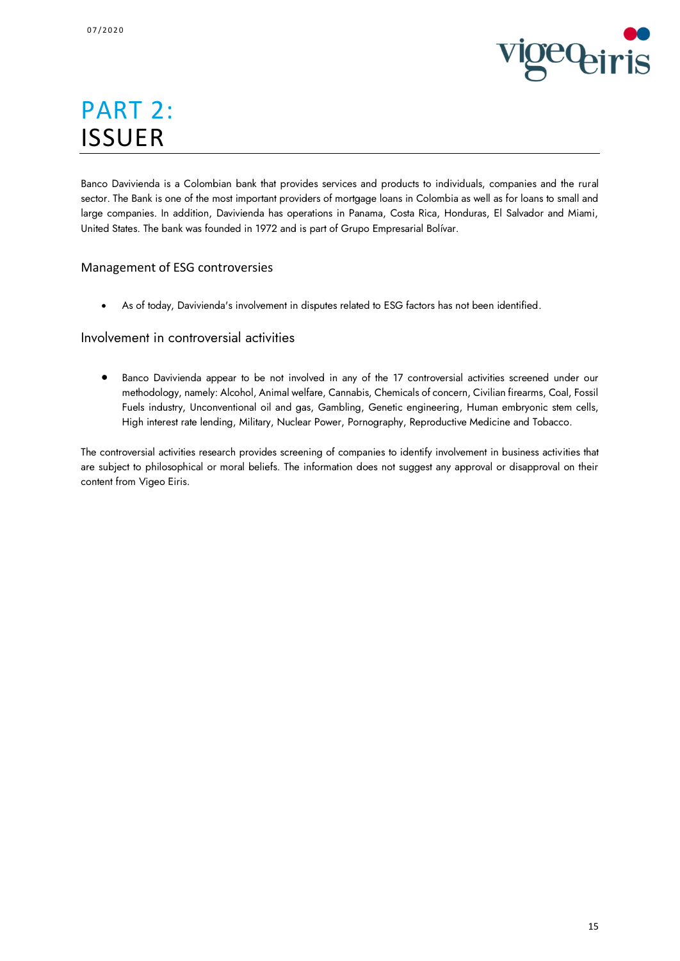

# PART 2: ISSUER

Banco Davivienda is a Colombian bank that provides services and products to individuals, companies and the rural sector. The Bank is one of the most important providers of mortgage loans in Colombia as well as for loans to small and large companies. In addition, Davivienda has operations in Panama, Costa Rica, Honduras, El Salvador and Miami, United States. The bank was founded in 1972 and is part of Grupo Empresarial Bolívar.

## Management of ESG controversies

• As of today, Davivienda's involvement in disputes related to ESG factors has not been identified.

## Involvement in controversial activities

• Banco Davivienda appear to be not involved in any of the 17 controversial activities screened under our methodology, namely: Alcohol, Animal welfare, Cannabis, Chemicals of concern, Civilian firearms, Coal, Fossil Fuels industry, Unconventional oil and gas, Gambling, Genetic engineering, Human embryonic stem cells, High interest rate lending, Military, Nuclear Power, Pornography, Reproductive Medicine and Tobacco.

The controversial activities research provides screening of companies to identify involvement in business activities that are subject to philosophical or moral beliefs. The information does not suggest any approval or disapproval on their content from Vigeo Eiris.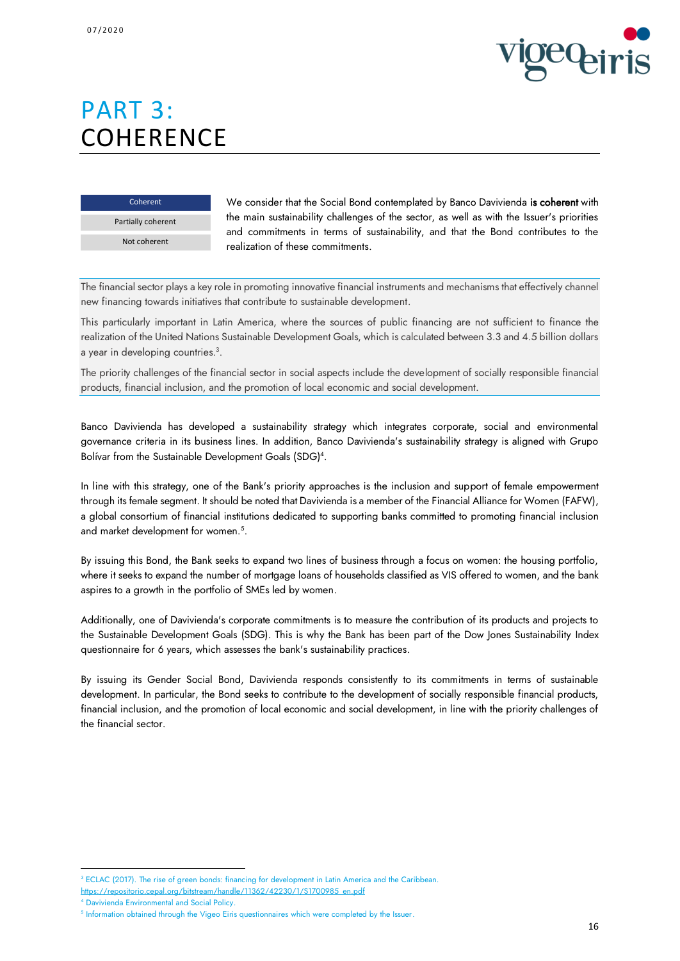

# PART 3: **COHERENCE**

Coherent Partially coherent Not coherent

We consider that the Social Bond contemplated by Banco Davivienda is coherent with the main sustainability challenges of the sector, as well as with the Issuer's priorities and commitments in terms of sustainability, and that the Bond contributes to the realization of these commitments.

The financial sector plays a key role in promoting innovative financial instruments and mechanisms that effectively channel new financing towards initiatives that contribute to sustainable development.

This particularly important in Latin America, where the sources of public financing are not sufficient to finance the realization of the United Nations Sustainable Development Goals, which is calculated between 3.3 and 4.5 billion dollars a year in developing countries.<sup>3</sup>.

The priority challenges of the financial sector in social aspects include the development of socially responsible financial products, financial inclusion, and the promotion of local economic and social development.

Banco Davivienda has developed a sustainability strategy which integrates corporate, social and environmental governance criteria in its business lines. In addition, Banco Davivienda's sustainability strategy is aligned with Grupo Bolívar from the Sustainable Development Goals (SDG) 4 .

In line with this strategy, one of the Bank's priority approaches is the inclusion and support of female empowerment through its female segment. It should be noted that Davivienda is a member of the Financial Alliance for Women (FAFW), a global consortium of financial institutions dedicated to supporting banks committed to promoting financial inclusion and market development for women.<sup>5</sup>.

By issuing this Bond, the Bank seeks to expand two lines of business through a focus on women: the housing portfolio, where it seeks to expand the number of mortgage loans of households classified as VIS offered to women, and the bank aspires to a growth in the portfolio of SMEs led by women.

Additionally, one of Davivienda's corporate commitments is to measure the contribution of its products and projects to the Sustainable Development Goals (SDG). This is why the Bank has been part of the Dow Jones Sustainability Index questionnaire for 6 years, which assesses the bank's sustainability practices.

By issuing its Gender Social Bond, Davivienda responds consistently to its commitments in terms of sustainable development. In particular, the Bond seeks to contribute to the development of socially responsible financial products, financial inclusion, and the promotion of local economic and social development, in line with the priority challenges of the financial sector.

**.** 

<sup>&</sup>lt;sup>3</sup> ECLAC (2017). The rise of green bonds: financing for development in Latin America and the Caribbean. [https://repositorio.cepal.org/bitstream/handle/11362/42230/1/S1700985\\_en.pdf](https://repositorio.cepal.org/bitstream/handle/11362/42230/1/S1700985_en.pdf)

<sup>4</sup> Davivienda Environmental and Social Policy.

<sup>&</sup>lt;sup>5</sup> Information obtained through the Vigeo Eiris questionnaires which were completed by the Issuer.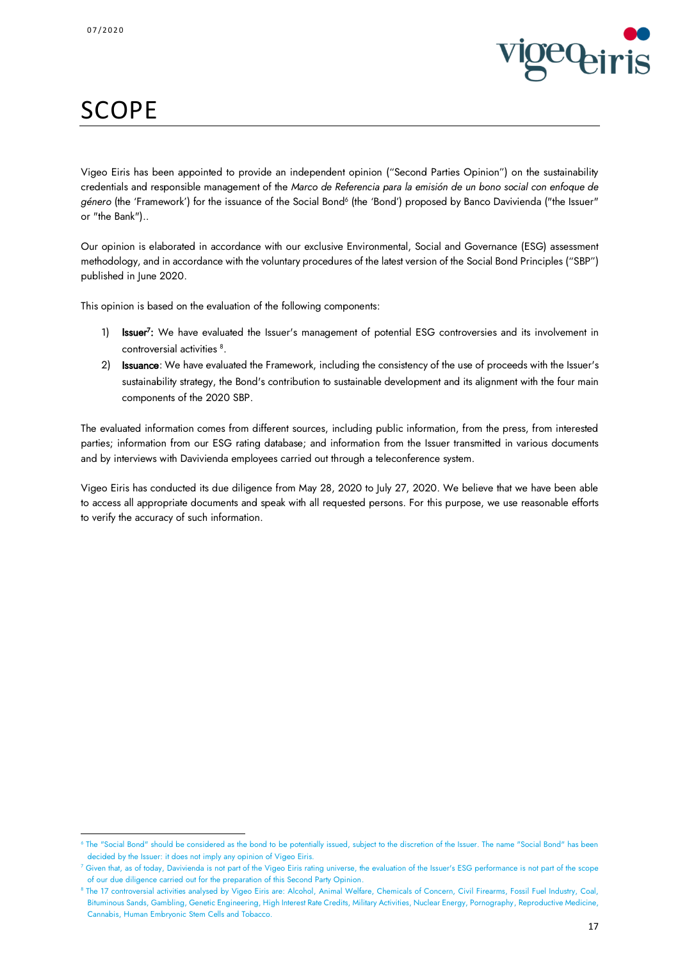1



# **SCOPE**

Vigeo Eiris has been appointed to provide an independent opinion ("Second Parties Opinion") on the sustainability credentials and responsible management of the *Marco de Referencia para la emisión de un bono social con enfoque de*  g*énero* (the 'Framework') for the issuance of the Social Bond<sup>6</sup> (the 'Bond') proposed by Banco Davivienda ("the Issuer" or "the Bank")..

Our opinion is elaborated in accordance with our exclusive Environmental, Social and Governance (ESG) assessment methodology, and in accordance with the voluntary procedures of the latest version of the Social Bond Principles ("SBP") published in June 2020.

This opinion is based on the evaluation of the following components:

- 1) **Issuer<sup>7</sup>:** We have evaluated the Issuer's management of potential ESG controversies and its involvement in controversial activities <sup>8</sup> .
- 2) Issuance: We have evaluated the Framework, including the consistency of the use of proceeds with the Issuer's sustainability strategy, the Bond's contribution to sustainable development and its alignment with the four main components of the 2020 SBP.

The evaluated information comes from different sources, including public information, from the press, from interested parties; information from our ESG rating database; and information from the Issuer transmitted in various documents and by interviews with Davivienda employees carried out through a teleconference system.

Vigeo Eiris has conducted its due diligence from May 28, 2020 to July 27, 2020. We believe that we have been able to access all appropriate documents and speak with all requested persons. For this purpose, we use reasonable efforts to verify the accuracy of such information.

<sup>6</sup> The "Social Bond" should be considered as the bond to be potentially issued, subject to the discretion of the Issuer. The name "Social Bond" has been decided by the Issuer: it does not imply any opinion of Vigeo Eiris.

<sup>7</sup> Given that, as of today, Davivienda is not part of the Vigeo Eiris rating universe, the evaluation of the Issuer's ESG performance is not part of the scope of our due diligence carried out for the preparation of this Second Party Opinion.

<sup>&</sup>lt;sup>8</sup> The 17 controversial activities analysed by Vigeo Eiris are: Alcohol, Animal Welfare, Chemicals of Concern, Civil Firearms, Fossil Fuel Industry, Coal, Bituminous Sands, Gambling, Genetic Engineering, High Interest Rate Credits, Military Activities, Nuclear Energy, Pornography, Reproductive Medicine, Cannabis, Human Embryonic Stem Cells and Tobacco.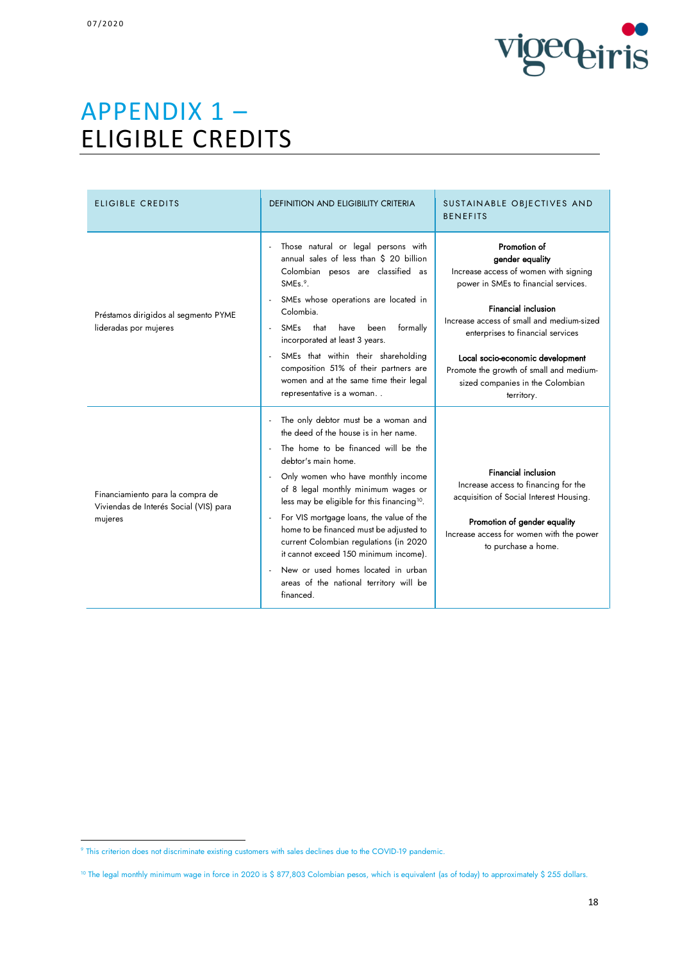

# APPENDIX 1 – ELIGIBLE CREDITS

| <b>ELIGIBLE CREDITS</b>                                                               | <b>DEFINITION AND ELIGIBILITY CRITERIA</b>                                                                                                                                                                                                                                                                                                                                                                                                                                                                                                                                                                                   | SUSTAINABLE OBJECTIVES AND<br><b>BENEFITS</b>                                                                                                                                                                                                                                                                                                                     |  |
|---------------------------------------------------------------------------------------|------------------------------------------------------------------------------------------------------------------------------------------------------------------------------------------------------------------------------------------------------------------------------------------------------------------------------------------------------------------------------------------------------------------------------------------------------------------------------------------------------------------------------------------------------------------------------------------------------------------------------|-------------------------------------------------------------------------------------------------------------------------------------------------------------------------------------------------------------------------------------------------------------------------------------------------------------------------------------------------------------------|--|
| Préstamos dirigidos al segmento PYME<br>lideradas por mujeres                         | Those natural or legal persons with<br>$\overline{\phantom{a}}$<br>annual sales of less than \$ 20 billion<br>Colombian pesos are classified as<br>SME <sub>s.<sup>9</sup>.</sub><br>SMEs whose operations are located in<br>Colombia.<br>SMEs that have<br>formally<br>been<br>$\blacksquare$<br>incorporated at least 3 years.<br>SMEs that within their shareholding<br>$\tilde{\phantom{a}}$<br>composition 51% of their partners are<br>women and at the same time their legal<br>representative is a woman                                                                                                             | Promotion of<br>gender equality<br>Increase access of women with signing<br>power in SMEs to financial services.<br><b>Financial inclusion</b><br>Increase access of small and medium-sized<br>enterprises to financial services<br>Local socio-economic development<br>Promote the growth of small and medium-<br>sized companies in the Colombian<br>territory. |  |
| Financiamiento para la compra de<br>Viviendas de Interés Social (VIS) para<br>mujeres | The only debtor must be a woman and<br>$\overline{\phantom{a}}$<br>the deed of the house is in her name.<br>The home to be financed will be the<br>debtor's main home.<br>Only women who have monthly income<br>of 8 legal monthly minimum wages or<br>less may be eligible for this financing <sup>10</sup> .<br>For VIS mortgage loans, the value of the<br>$\overline{\phantom{a}}$<br>home to be financed must be adjusted to<br>current Colombian regulations (in 2020<br>it cannot exceed 150 minimum income).<br>New or used homes located in urban<br>$\sim$<br>areas of the national territory will be<br>financed. | <b>Financial inclusion</b><br>Increase access to financing for the<br>acquisition of Social Interest Housing.<br>Promotion of gender equality<br>Increase access for women with the power<br>to purchase a home.                                                                                                                                                  |  |

**<sup>.</sup>** <sup>9</sup> This criterion does not discriminate existing customers with sales declines due to the COVID-19 pandemic.

<sup>&</sup>lt;sup>10</sup> The legal monthly minimum wage in force in 2020 is \$ 877,803 Colombian pesos, which is equivalent (as of today) to approximately \$ 255 dollars.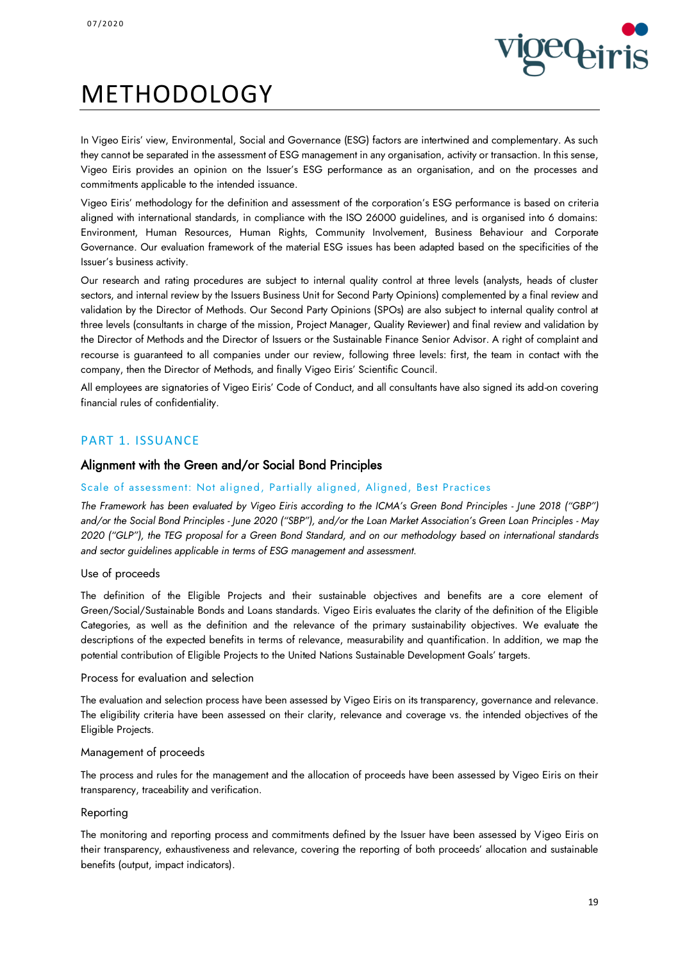

# METHODOLOGY

In Vigeo Eiris' view, Environmental, Social and Governance (ESG) factors are intertwined and complementary. As such they cannot be separated in the assessment of ESG management in any organisation, activity or transaction. In this sense, Vigeo Eiris provides an opinion on the Issuer's ESG performance as an organisation, and on the processes and commitments applicable to the intended issuance.

Vigeo Eiris' methodology for the definition and assessment of the corporation's ESG performance is based on criteria aligned with international standards, in compliance with the ISO 26000 guidelines, and is organised into 6 domains: Environment, Human Resources, Human Rights, Community Involvement, Business Behaviour and Corporate Governance. Our evaluation framework of the material ESG issues has been adapted based on the specificities of the Issuer's business activity.

Our research and rating procedures are subject to internal quality control at three levels (analysts, heads of cluster sectors, and internal review by the Issuers Business Unit for Second Party Opinions) complemented by a final review and validation by the Director of Methods. Our Second Party Opinions (SPOs) are also subject to internal quality control at three levels (consultants in charge of the mission, Project Manager, Quality Reviewer) and final review and validation by the Director of Methods and the Director of Issuers or the Sustainable Finance Senior Advisor. A right of complaint and recourse is guaranteed to all companies under our review, following three levels: first, the team in contact with the company, then the Director of Methods, and finally Vigeo Eiris' Scientific Council.

All employees are signatories of Vigeo Eiris' Code of Conduct, and all consultants have also signed its add-on covering financial rules of confidentiality.

## PART 1. ISSUANCE

## Alignment with the Green and/or Social Bond Principles

## Scale of assessment: Not aligned, Partially aligned, Aligned, Best Practices

*The Framework has been evaluated by Vigeo Eiris according to the ICMA's Green Bond Principles - June 2018 ("GBP")*  and/or the Social Bond Principles - June 2020 ("SBP"), and/or the Loan Market Association's Green Loan Principles - May *2020 ("GLP"), the TEG proposal for a Green Bond Standard, and on our methodology based on international standards and sector guidelines applicable in terms of ESG management and assessment.*

### Use of proceeds

The definition of the Eligible Projects and their sustainable objectives and benefits are a core element of Green/Social/Sustainable Bonds and Loans standards. Vigeo Eiris evaluates the clarity of the definition of the Eligible Categories, as well as the definition and the relevance of the primary sustainability objectives. We evaluate the descriptions of the expected benefits in terms of relevance, measurability and quantification. In addition, we map the potential contribution of Eligible Projects to the United Nations Sustainable Development Goals' targets.

#### Process for evaluation and selection

The evaluation and selection process have been assessed by Vigeo Eiris on its transparency, governance and relevance. The eligibility criteria have been assessed on their clarity, relevance and coverage vs. the intended objectives of the Eligible Projects.

### Management of proceeds

The process and rules for the management and the allocation of proceeds have been assessed by Vigeo Eiris on their transparency, traceability and verification.

#### Reporting

The monitoring and reporting process and commitments defined by the Issuer have been assessed by Vigeo Eiris on their transparency, exhaustiveness and relevance, covering the reporting of both proceeds' allocation and sustainable benefits (output, impact indicators).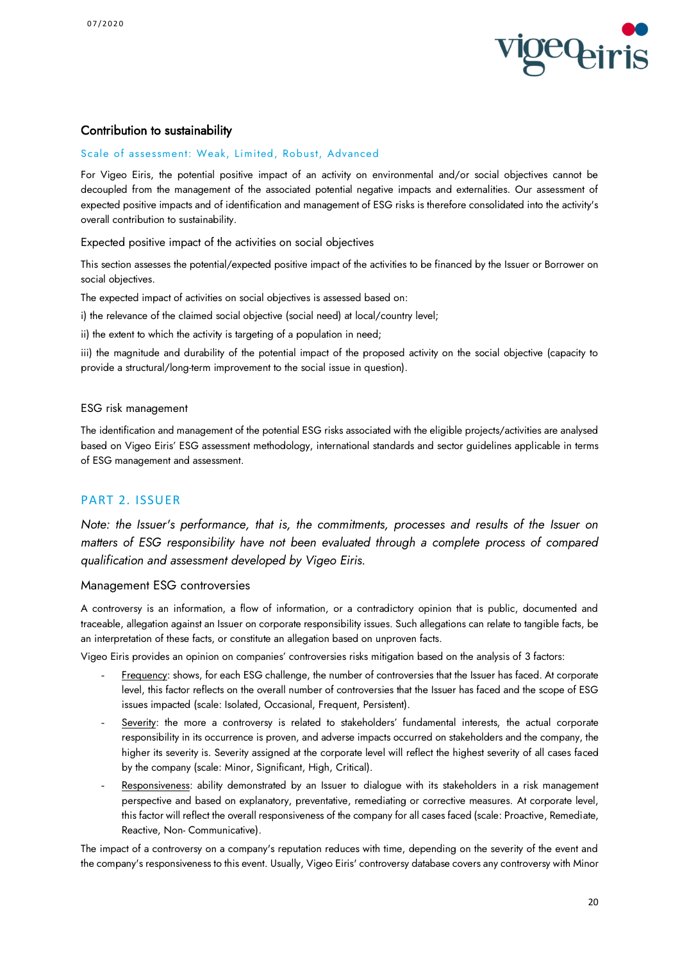

## Contribution to sustainability

#### Scale of assessment: Weak, Limited, Robust, Advanced

For Vigeo Eiris, the potential positive impact of an activity on environmental and/or social objectives cannot be decoupled from the management of the associated potential negative impacts and externalities. Our assessment of expected positive impacts and of identification and management of ESG risks is therefore consolidated into the activity's overall contribution to sustainability.

Expected positive impact of the activities on social objectives

This section assesses the potential/expected positive impact of the activities to be financed by the Issuer or Borrower on social objectives.

The expected impact of activities on social objectives is assessed based on:

i) the relevance of the claimed social objective (social need) at local/country level;

ii) the extent to which the activity is targeting of a population in need;

iii) the magnitude and durability of the potential impact of the proposed activity on the social objective (capacity to provide a structural/long-term improvement to the social issue in question).

#### ESG risk management

The identification and management of the potential ESG risks associated with the eligible projects/activities are analysed based on Vigeo Eiris' ESG assessment methodology, international standards and sector guidelines applicable in terms of ESG management and assessment.

## PART 2. ISSUER

*Note: the Issuer's performance, that is, the commitments, processes and results of the Issuer on matters of ESG responsibility have not been evaluated through a complete process of compared qualification and assessment developed by Vigeo Eiris.*

### Management ESG controversies

A controversy is an information, a flow of information, or a contradictory opinion that is public, documented and traceable, allegation against an Issuer on corporate responsibility issues. Such allegations can relate to tangible facts, be an interpretation of these facts, or constitute an allegation based on unproven facts.

Vigeo Eiris provides an opinion on companies' controversies risks mitigation based on the analysis of 3 factors:

- Frequency: shows, for each ESG challenge, the number of controversies that the Issuer has faced. At corporate level, this factor reflects on the overall number of controversies that the Issuer has faced and the scope of ESG issues impacted (scale: Isolated, Occasional, Frequent, Persistent).
- Severity: the more a controversy is related to stakeholders' fundamental interests, the actual corporate responsibility in its occurrence is proven, and adverse impacts occurred on stakeholders and the company, the higher its severity is. Severity assigned at the corporate level will reflect the highest severity of all cases faced by the company (scale: Minor, Significant, High, Critical).
- Responsiveness: ability demonstrated by an Issuer to dialogue with its stakeholders in a risk management perspective and based on explanatory, preventative, remediating or corrective measures. At corporate level, this factor will reflect the overall responsiveness of the company for all cases faced (scale: Proactive, Remediate, Reactive, Non- Communicative).

The impact of a controversy on a company's reputation reduces with time, depending on the severity of the event and the company's responsiveness to this event. Usually, Vigeo Eiris' controversy database covers any controversy with Minor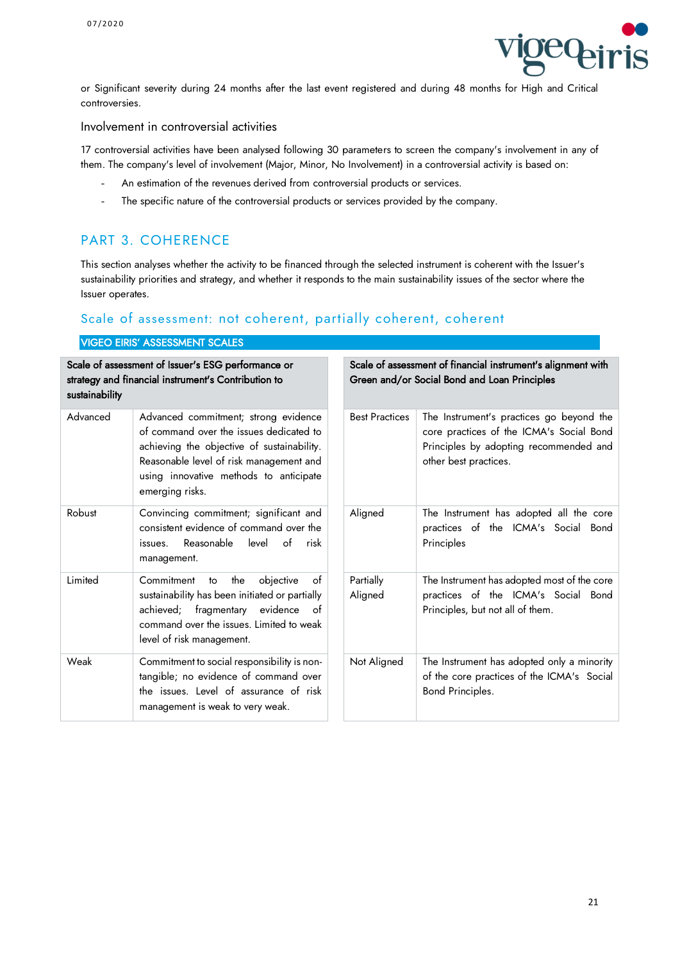

or Significant severity during 24 months after the last event registered and during 48 months for High and Critical controversies.

Involvement in controversial activities

17 controversial activities have been analysed following 30 parameters to screen the company's involvement in any of them. The company's level of involvement (Major, Minor, No Involvement) in a controversial activity is based on:

- An estimation of the revenues derived from controversial products or services.
- The specific nature of the controversial products or services provided by the company.

# PART 3. COHERENCE

This section analyses whether the activity to be financed through the selected instrument is coherent with the Issuer's sustainability priorities and strategy, and whether it responds to the main sustainability issues of the sector where the Issuer operates.

## Scale of assessment: not coherent, partially coherent, coherent

| <b>VIGEO EIRIS' ASSESSMENT SCALES</b>                                                                                       |                                                                                                                                                                                                                                       |                       |                                                                                                                                                         |  |
|-----------------------------------------------------------------------------------------------------------------------------|---------------------------------------------------------------------------------------------------------------------------------------------------------------------------------------------------------------------------------------|-----------------------|---------------------------------------------------------------------------------------------------------------------------------------------------------|--|
| Scale of assessment of Issuer's ESG performance or<br>strategy and financial instrument's Contribution to<br>sustainability |                                                                                                                                                                                                                                       |                       | Scale of assessment of financial instrument's alignment with<br>Green and/or Social Bond and Loan Principles                                            |  |
| Advanced                                                                                                                    | Advanced commitment; strong evidence<br>of command over the issues dedicated to<br>achieving the objective of sustainability.<br>Reasonable level of risk management and<br>using innovative methods to anticipate<br>emerging risks. | <b>Best Practices</b> | The Instrument's practices go beyond the<br>core practices of the ICMA's Social Bond<br>Principles by adopting recommended and<br>other best practices. |  |
| Robust                                                                                                                      | Convincing commitment; significant and<br>consistent evidence of command over the<br>Reasonable<br>of<br>risk<br>level<br>issues.<br>management.                                                                                      | Aligned               | The Instrument has adopted all the core<br>practices of the ICMA's Social Bond<br>Principles                                                            |  |
| Limited                                                                                                                     | Commitment<br>the<br>objective<br>of<br>to<br>sustainability has been initiated or partially<br>achieved; fragmentary evidence of<br>command over the issues. Limited to weak<br>level of risk management.                            | Partially<br>Aligned  | The Instrument has adopted most of the core<br>practices of the ICMA's Social Bond<br>Principles, but not all of them.                                  |  |
| Weak                                                                                                                        | Commitment to social responsibility is non-<br>tangible; no evidence of command over<br>the issues. Level of assurance of risk<br>management is weak to very weak.                                                                    | Not Aligned           | The Instrument has adopted only a minority<br>of the core practices of the ICMA's Social<br>Bond Principles.                                            |  |